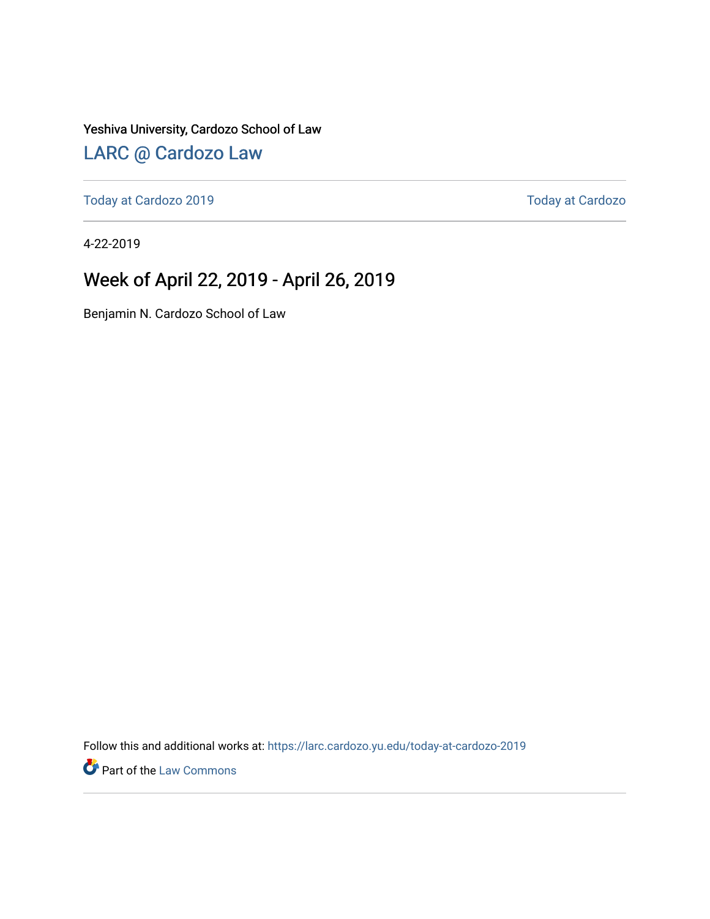Yeshiva University, Cardozo School of Law

#### [LARC @ Cardozo Law](https://larc.cardozo.yu.edu/)

[Today at Cardozo 2019](https://larc.cardozo.yu.edu/today-at-cardozo-2019) **Today at Cardozo** 2019

4-22-2019

#### Week of April 22, 2019 - April 26, 2019

Benjamin N. Cardozo School of Law

Follow this and additional works at: [https://larc.cardozo.yu.edu/today-at-cardozo-2019](https://larc.cardozo.yu.edu/today-at-cardozo-2019?utm_source=larc.cardozo.yu.edu%2Ftoday-at-cardozo-2019%2F11&utm_medium=PDF&utm_campaign=PDFCoverPages)

**P** Part of the [Law Commons](http://network.bepress.com/hgg/discipline/578?utm_source=larc.cardozo.yu.edu%2Ftoday-at-cardozo-2019%2F11&utm_medium=PDF&utm_campaign=PDFCoverPages)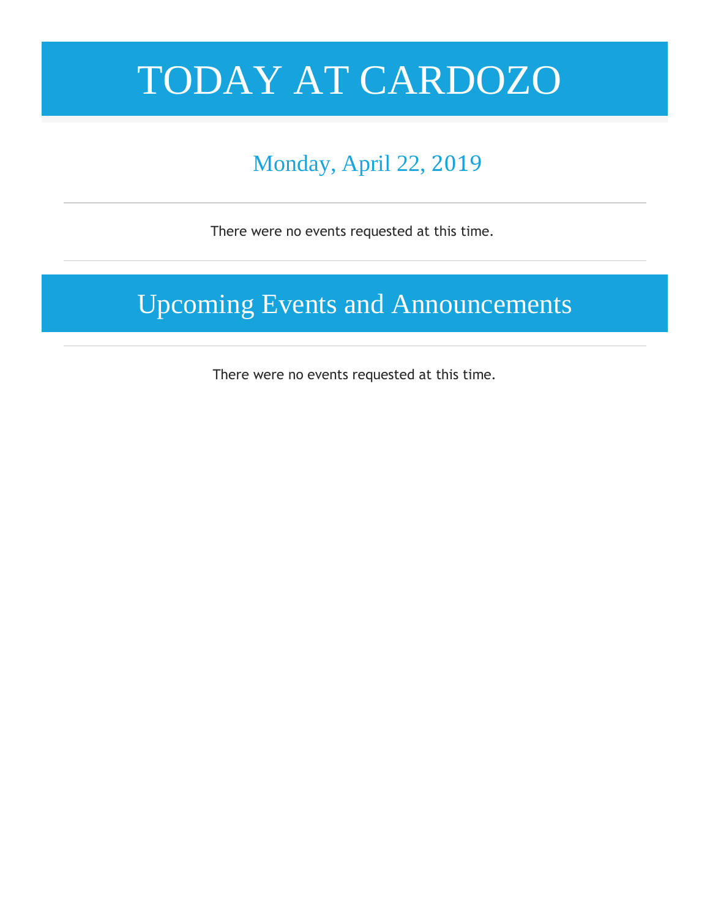# TODAY AT CARDOZO

## Monday, April 22, 2019

There were no events requested at this time.

Upcoming Events and Announcements

There were no events requested at this time.